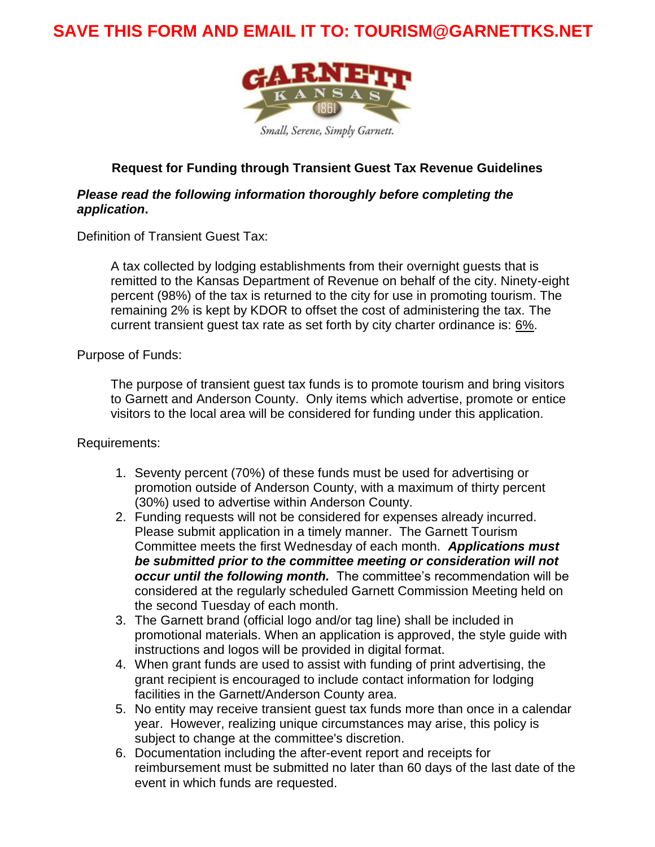# **SAVE THIS FORM AND EMAIL IT TO: TOURISM@GARNETTKS.NET**



## **Request for Funding through Transient Guest Tax Revenue Guidelines**

#### *Please read the following information thoroughly before completing the application***.**

Definition of Transient Guest Tax:

A tax collected by lodging establishments from their overnight guests that is remitted to the Kansas Department of Revenue on behalf of the city. Ninety-eight percent (98%) of the tax is returned to the city for use in promoting tourism. The remaining 2% is kept by KDOR to offset the cost of administering the tax. The current transient guest tax rate as set forth by city charter ordinance is: 6%.

Purpose of Funds:

The purpose of transient guest tax funds is to promote tourism and bring visitors to Garnett and Anderson County. Only items which advertise, promote or entice visitors to the local area will be considered for funding under this application.

Requirements:

- 1. Seventy percent (70%) of these funds must be used for advertising or promotion outside of Anderson County, with a maximum of thirty percent (30%) used to advertise within Anderson County.
- 2. Funding requests will not be considered for expenses already incurred. Please submit application in a timely manner. The Garnett Tourism Committee meets the first Wednesday of each month. *Applications must be submitted prior to the committee meeting or consideration will not occur until the following month.* The committee's recommendation will be considered at the regularly scheduled Garnett Commission Meeting held on the second Tuesday of each month.
- 3. The Garnett brand (official logo and/or tag line) shall be included in promotional materials. When an application is approved, the style guide with instructions and logos will be provided in digital format.
- 4. When grant funds are used to assist with funding of print advertising, the grant recipient is encouraged to include contact information for lodging facilities in the Garnett/Anderson County area.
- 5. No entity may receive transient guest tax funds more than once in a calendar year. However, realizing unique circumstances may arise, this policy is subject to change at the committee's discretion.
- 6. Documentation including the after-event report and receipts for reimbursement must be submitted no later than 60 days of the last date of the event in which funds are requested.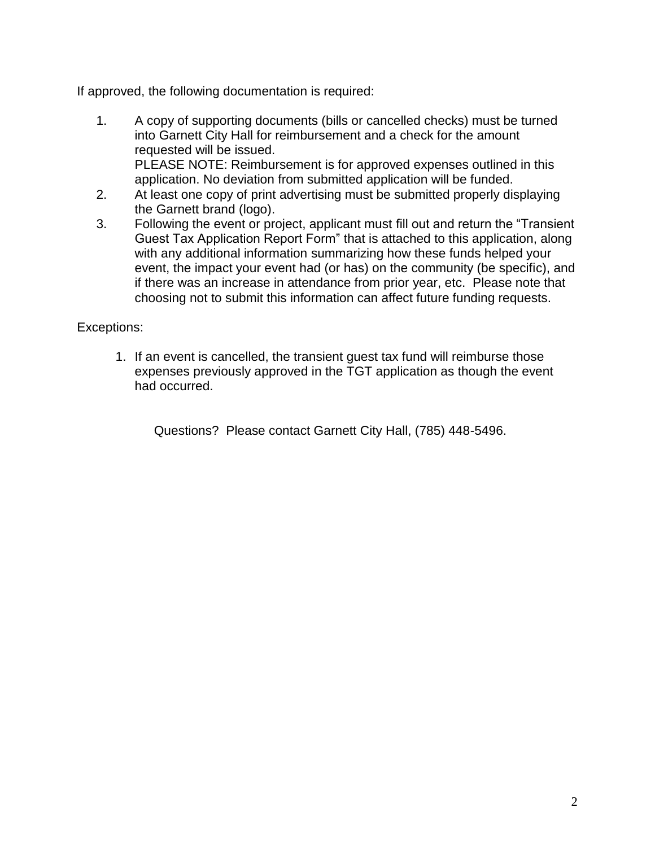If approved, the following documentation is required:

- 1. A copy of supporting documents (bills or cancelled checks) must be turned into Garnett City Hall for reimbursement and a check for the amount requested will be issued. PLEASE NOTE: Reimbursement is for approved expenses outlined in this application. No deviation from submitted application will be funded.
- 2. At least one copy of print advertising must be submitted properly displaying the Garnett brand (logo).
- 3. Following the event or project, applicant must fill out and return the "Transient Guest Tax Application Report Form" that is attached to this application, along with any additional information summarizing how these funds helped your event, the impact your event had (or has) on the community (be specific), and if there was an increase in attendance from prior year, etc. Please note that choosing not to submit this information can affect future funding requests.

## Exceptions:

1. If an event is cancelled, the transient guest tax fund will reimburse those expenses previously approved in the TGT application as though the event had occurred.

Questions? Please contact Garnett City Hall, (785) 448-5496.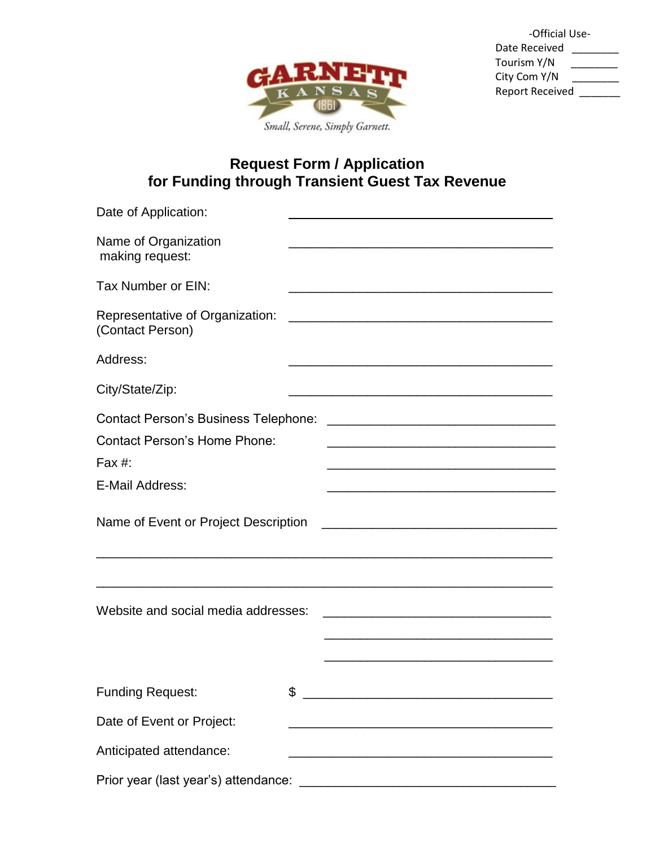

| -Official Use-         |  |
|------------------------|--|
| Date Received          |  |
| Tourism Y/N            |  |
| City Com Y/N           |  |
| <b>Report Received</b> |  |
|                        |  |

# **Request Form / Application for Funding through Transient Guest Tax Revenue**

| Date of Application:                                                                                            |                                                                                                                       |
|-----------------------------------------------------------------------------------------------------------------|-----------------------------------------------------------------------------------------------------------------------|
| Name of Organization<br>making request:                                                                         |                                                                                                                       |
| Tax Number or EIN:                                                                                              |                                                                                                                       |
| Representative of Organization:<br>(Contact Person)                                                             | <u> 1989 - Johann Stoff, amerikansk politiker (d. 1989)</u>                                                           |
| Address:                                                                                                        |                                                                                                                       |
| City/State/Zip:                                                                                                 | <u> 1989 - Johann Barbara, martxa alemaniar arg</u>                                                                   |
| <b>Contact Person's Business Telephone:</b><br><b>Contact Person's Home Phone:</b><br>Fax #:<br>E-Mail Address: | <u> 1989 - Johann Barn, mars ann an t-Amhain an t-Amhain an t-Amhain an t-Amhain an t-Amhain an t-Amhain an t-Amh</u> |
| Name of Event or Project Description                                                                            |                                                                                                                       |
| Website and social media addresses:                                                                             |                                                                                                                       |
| <b>Funding Request:</b>                                                                                         | \$                                                                                                                    |
| Date of Event or Project:                                                                                       |                                                                                                                       |
| Anticipated attendance:                                                                                         |                                                                                                                       |
| Prior year (last year's) attendance:                                                                            |                                                                                                                       |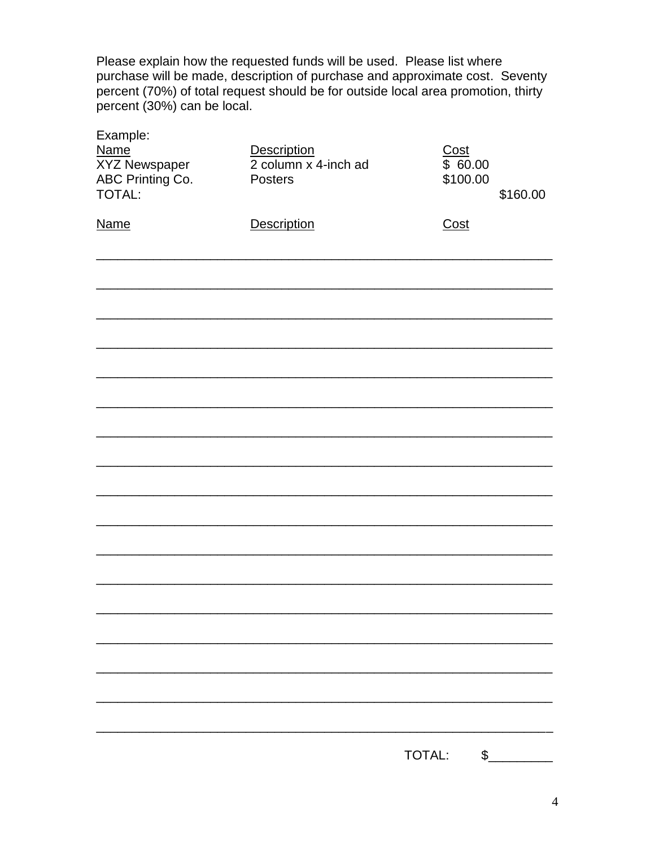Please explain how the requested funds will be used. Please list where purchase will be made, description of purchase and approximate cost. Seventy percent (70%) of total request should be for outside local area promotion, thirty percent (30%) can be local.

| Example:<br><b>Name</b><br><b>XYZ Newspaper</b><br>ABC Printing Co.<br><b>TOTAL:</b> | Description<br>2 column x 4-inch ad<br>Posters | Cost<br>\$60.00<br>\$100.00<br>\$160.00 |
|--------------------------------------------------------------------------------------|------------------------------------------------|-----------------------------------------|
| <b>Name</b>                                                                          | Description                                    | Cost                                    |
|                                                                                      |                                                |                                         |
|                                                                                      |                                                |                                         |
|                                                                                      |                                                |                                         |
|                                                                                      |                                                |                                         |
|                                                                                      |                                                |                                         |
|                                                                                      |                                                |                                         |
|                                                                                      |                                                |                                         |
|                                                                                      |                                                |                                         |
|                                                                                      |                                                |                                         |
|                                                                                      |                                                |                                         |
|                                                                                      |                                                |                                         |
|                                                                                      |                                                |                                         |
|                                                                                      |                                                |                                         |
|                                                                                      |                                                |                                         |
|                                                                                      |                                                | TOTAL:<br>$\frac{1}{2}$                 |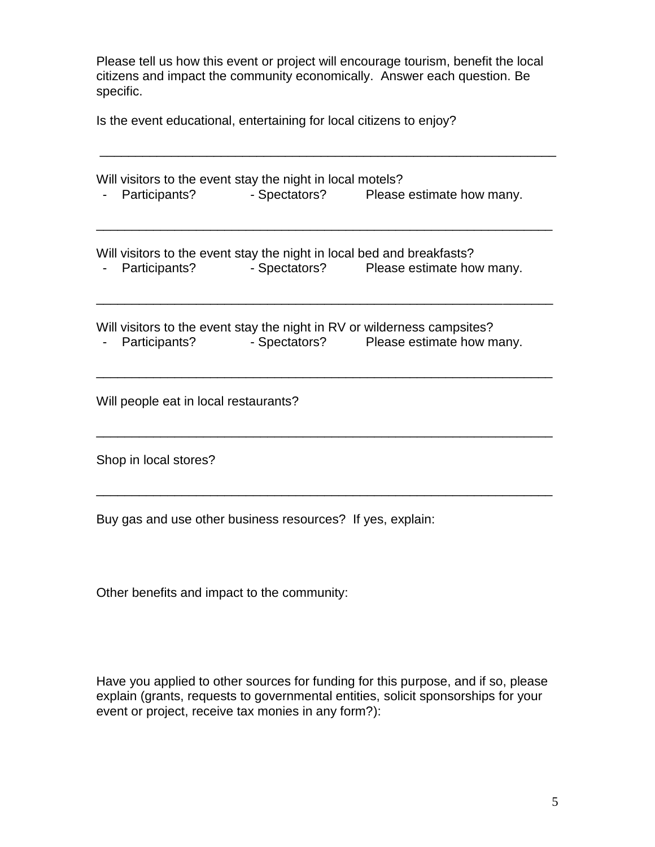Please tell us how this event or project will encourage tourism, benefit the local citizens and impact the community economically. Answer each question. Be specific.

\_\_\_\_\_\_\_\_\_\_\_\_\_\_\_\_\_\_\_\_\_\_\_\_\_\_\_\_\_\_\_\_\_\_\_\_\_\_\_\_\_\_\_\_\_\_\_\_\_\_\_\_\_\_\_\_\_\_\_\_\_\_\_\_

Is the event educational, entertaining for local citizens to enjoy?

|                                       | Will visitors to the event stay the night in local motels?             |  | Participants? - Spectators? Please estimate how many.                                                                             |
|---------------------------------------|------------------------------------------------------------------------|--|-----------------------------------------------------------------------------------------------------------------------------------|
|                                       | Will visitors to the event stay the night in local bed and breakfasts? |  | Participants? - Spectators? Please estimate how many.                                                                             |
|                                       |                                                                        |  | Will visitors to the event stay the night in RV or wilderness campsites?<br>Participants? - Spectators? Please estimate how many. |
| Will people eat in local restaurants? |                                                                        |  |                                                                                                                                   |
|                                       | Shop in local stores?                                                  |  |                                                                                                                                   |

Buy gas and use other business resources? If yes, explain:

Other benefits and impact to the community:

Have you applied to other sources for funding for this purpose, and if so, please explain (grants, requests to governmental entities, solicit sponsorships for your event or project, receive tax monies in any form?):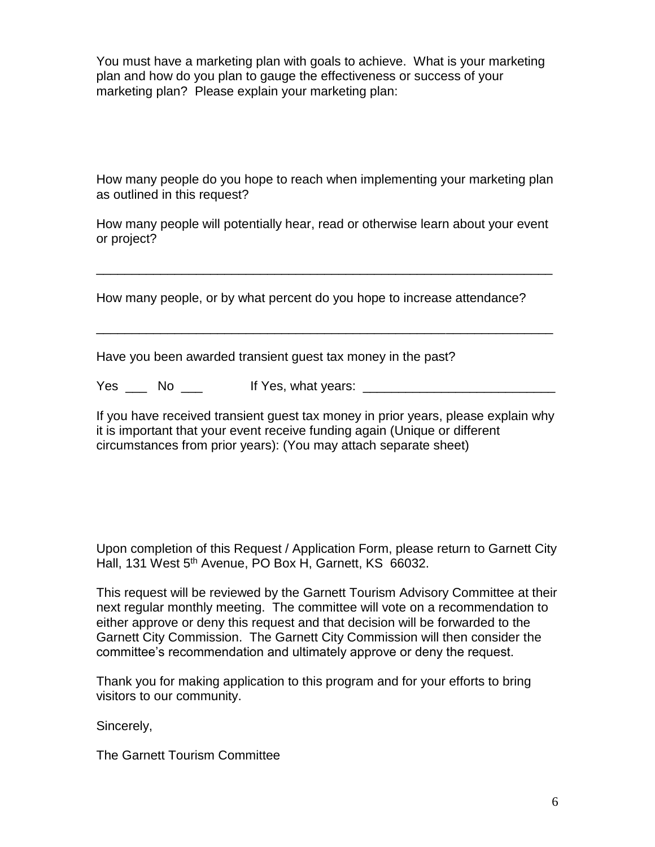You must have a marketing plan with goals to achieve. What is your marketing plan and how do you plan to gauge the effectiveness or success of your marketing plan? Please explain your marketing plan:

How many people do you hope to reach when implementing your marketing plan as outlined in this request?

How many people will potentially hear, read or otherwise learn about your event or project?

\_\_\_\_\_\_\_\_\_\_\_\_\_\_\_\_\_\_\_\_\_\_\_\_\_\_\_\_\_\_\_\_\_\_\_\_\_\_\_\_\_\_\_\_\_\_\_\_\_\_\_\_\_\_\_\_\_\_\_\_\_\_\_\_

\_\_\_\_\_\_\_\_\_\_\_\_\_\_\_\_\_\_\_\_\_\_\_\_\_\_\_\_\_\_\_\_\_\_\_\_\_\_\_\_\_\_\_\_\_\_\_\_\_\_\_\_\_\_\_\_\_\_\_\_\_\_\_\_

How many people, or by what percent do you hope to increase attendance?

Have you been awarded transient guest tax money in the past?

Yes \_\_\_ No \_\_\_ If Yes, what years: \_\_\_\_\_\_\_\_\_\_\_\_\_\_\_\_\_\_\_\_\_\_\_\_\_\_\_

If you have received transient guest tax money in prior years, please explain why it is important that your event receive funding again (Unique or different circumstances from prior years): (You may attach separate sheet)

Upon completion of this Request / Application Form, please return to Garnett City Hall, 131 West 5<sup>th</sup> Avenue, PO Box H, Garnett, KS 66032.

This request will be reviewed by the Garnett Tourism Advisory Committee at their next regular monthly meeting. The committee will vote on a recommendation to either approve or deny this request and that decision will be forwarded to the Garnett City Commission. The Garnett City Commission will then consider the committee's recommendation and ultimately approve or deny the request.

Thank you for making application to this program and for your efforts to bring visitors to our community.

Sincerely,

The Garnett Tourism Committee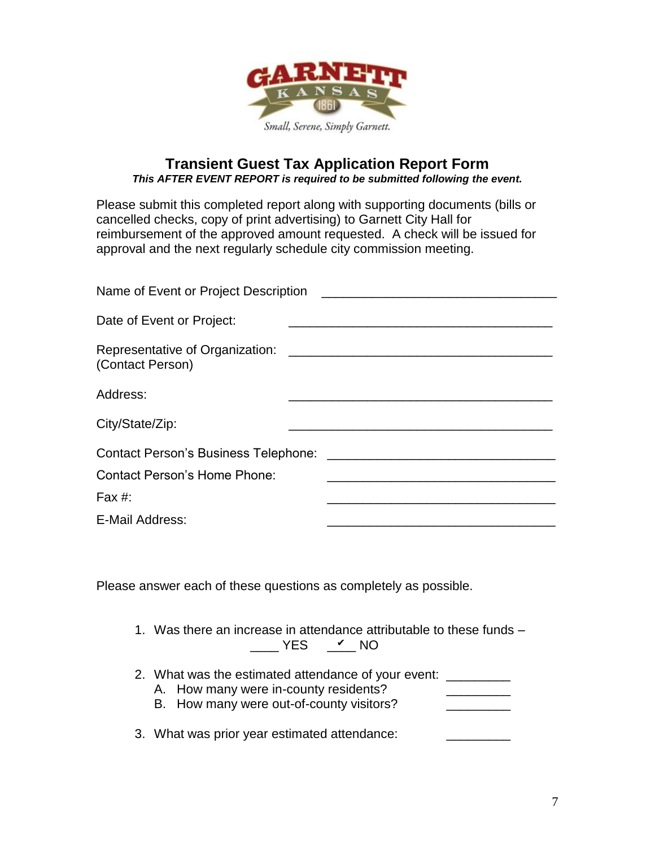

#### **Transient Guest Tax Application Report Form** *This AFTER EVENT REPORT is required to be submitted following the event.*

Please submit this completed report along with supporting documents (bills or cancelled checks, copy of print advertising) to Garnett City Hall for reimbursement of the approved amount requested. A check will be issued for approval and the next regularly schedule city commission meeting.

| Name of Event or Project Description                |  |
|-----------------------------------------------------|--|
| Date of Event or Project:                           |  |
| Representative of Organization:<br>(Contact Person) |  |
| Address:                                            |  |
| City/State/Zip:                                     |  |
| <b>Contact Person's Business Telephone:</b>         |  |
| <b>Contact Person's Home Phone:</b>                 |  |
| Fax $#$ :                                           |  |
| E-Mail Address:                                     |  |

Please answer each of these questions as completely as possible.

- 1. Was there an increase in attendance attributable to these funds  $\sqrt{Y}$  YES  $\sqrt{Y}$  NO
- 2. What was the estimated attendance of your event: \_\_\_\_\_\_\_\_\_
	- A. How many were in-county residents?
	- B. How many were out-of-county visitors?
- 3. What was prior year estimated attendance: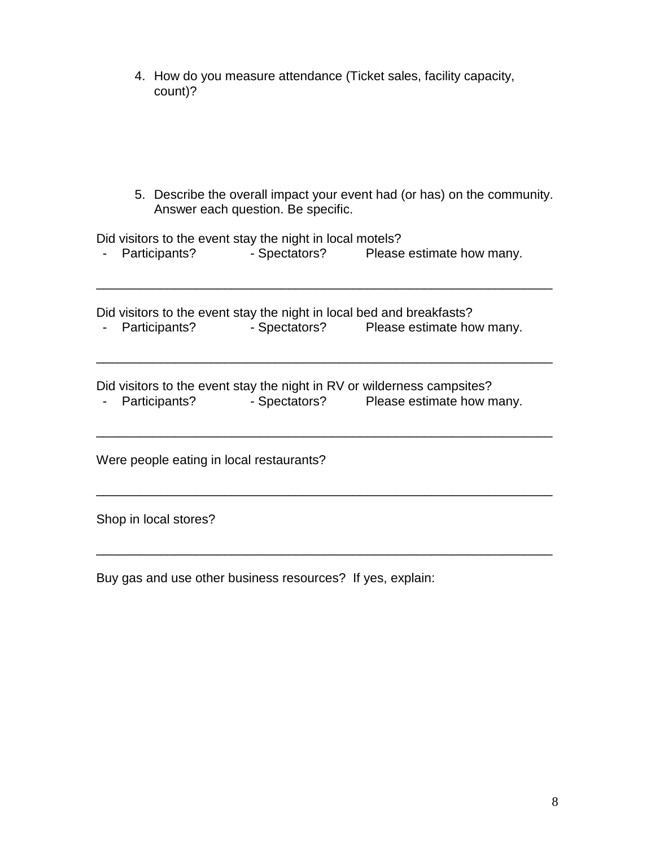4. How do you measure attendance (Ticket sales, facility capacity, count)?

5. Describe the overall impact your event had (or has) on the community. Answer each question. Be specific.

| Did visitors to the event stay the night in local motels?             | Participants? - Spectators? Please estimate how many.                                                                            |
|-----------------------------------------------------------------------|----------------------------------------------------------------------------------------------------------------------------------|
| Did visitors to the event stay the night in local bed and breakfasts? | Participants? - Spectators? Please estimate how many.                                                                            |
|                                                                       | Did visitors to the event stay the night in RV or wilderness campsites?<br>Participants? - Spectators? Please estimate how many. |
| Were people eating in local restaurants?                              |                                                                                                                                  |
| Shop in local stores?                                                 |                                                                                                                                  |

\_\_\_\_\_\_\_\_\_\_\_\_\_\_\_\_\_\_\_\_\_\_\_\_\_\_\_\_\_\_\_\_\_\_\_\_\_\_\_\_\_\_\_\_\_\_\_\_\_\_\_\_\_\_\_\_\_\_\_\_\_\_\_\_

Buy gas and use other business resources? If yes, explain: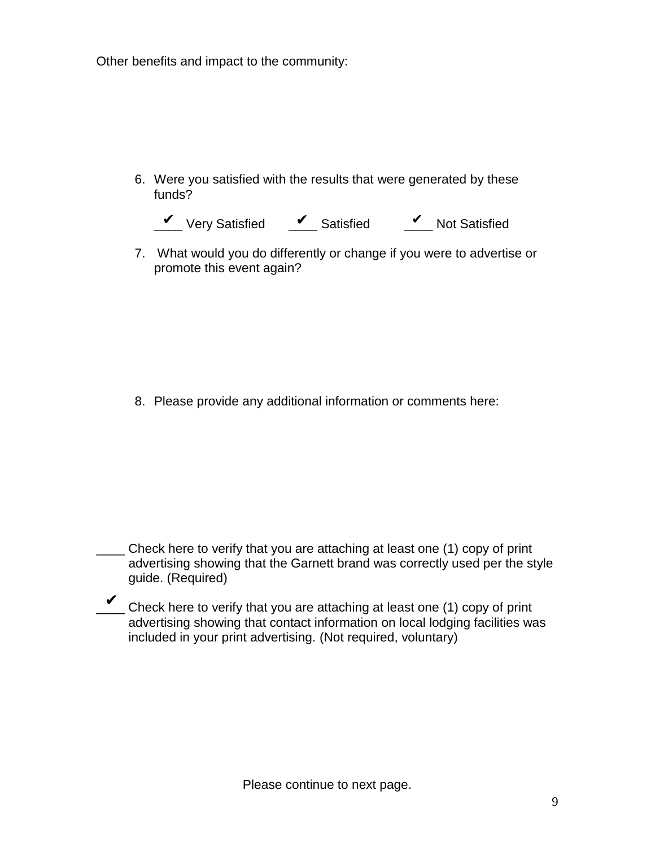Other benefits and impact to the community:

6. Were you satisfied with the results that were generated by these funds?



7. What would you do differently or change if you were to advertise or promote this event again?

8. Please provide any additional information or comments here:

- \_\_\_\_ Check here to verify that you are attaching at least one (1) copy of print advertising showing that the Garnett brand was correctly used per the style guide. (Required)
- Check here to verify that you are attaching at least one (1) copy of print advertising showing that contact information on local lodging facilities was included in your print advertising. (Not required, voluntary)